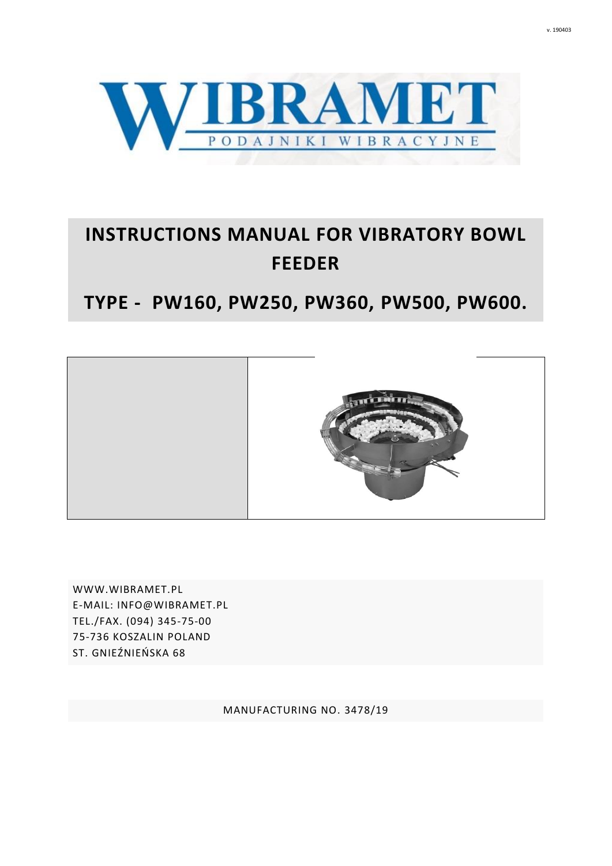

# **INSTRUCTIONS MANUAL FOR VIBRATORY BOWL FEEDER**

# **TYPE - PW160, PW250, PW360, PW500, PW600.**



[WWW.WIBRAMET.P](http://www.wibramet.net/)L E-MAIL: INFO@WIBRAMET.PL TEL./FAX. (094) 345-75-00 75-736 KOSZALIN POLAND ST. GNIEŹNIEŃSKA 68

MANUFACTURING NO. 3478/19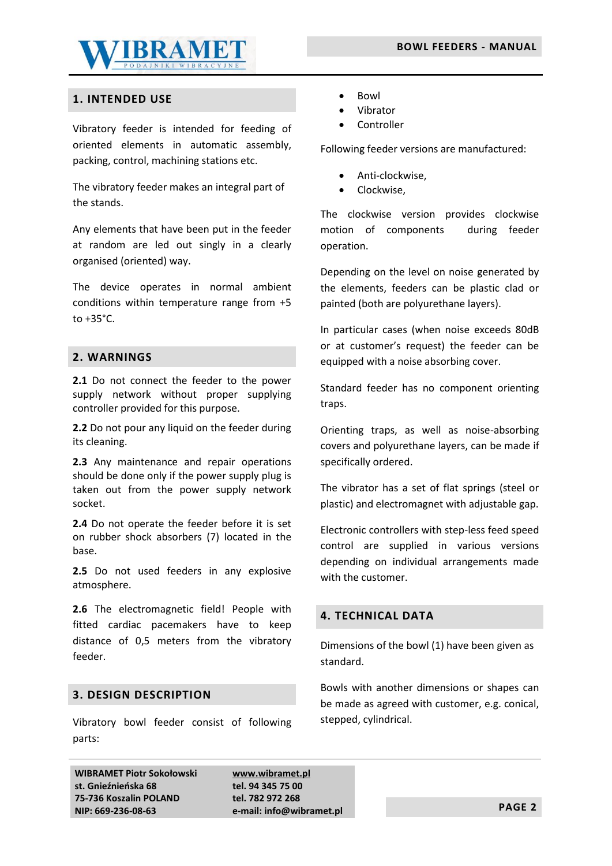

# **1. INTENDED USE**

Vibratory feeder is intended for feeding of oriented elements in automatic assembly, packing, control, machining stations etc.

The vibratory feeder makes an integral part of the stands.

Any elements that have been put in the feeder at random are led out singly in a clearly organised (oriented) way.

The device operates in normal ambient conditions within temperature range from +5 to +35°C.

# **2. WARNINGS**

2.1 Do not connect the feeder to the power supply network without proper supplying controller provided for this purpose.

**2.2** Do not pour any liquid on the feeder during its cleaning.

2.3 Any maintenance and repair operations should be done only if the power supply plug is taken out from the power supply network socket.

**2.4** Do not operate the feeder before it is set on rubber shock absorbers (7) located in the base.

**2.5** Do not used feeders in any explosive atmosphere.

**2.6** The electromagnetic field! People with fitted cardiac pacemakers have to keep distance of 0,5 meters from the vibratory feeder.

# **3. DESIGN DESCRIPTION**

Vibratory bowl feeder consist of following parts:

- Bowl
- Vibrator
- Controller

Following feeder versions are manufactured:

- Anti-clockwise,
- Clockwise,

The clockwise version provides clockwise motion of components during feeder operation.

Depending on the level on noise generated by the elements, feeders can be plastic clad or painted (both are polyurethane layers).

In particular cases (when noise exceeds 80dB or at customer's request) the feeder can be equipped with a noise absorbing cover.

Standard feeder has no component orienting traps.

Orienting traps, as well as noise-absorbing covers and polyurethane layers, can be made if specifically ordered.

The vibrator has a set of flat springs (steel or plastic) and electromagnet with adjustable gap.

Electronic controllers with step-less feed speed control are supplied in various versions depending on individual arrangements made with the customer.

#### **4. TECHNICAL DATA**

Dimensions of the bowl (1) have been given as standard.

Bowls with another dimensions or shapes can be made as agreed with customer, e.g. conical, stepped, cylindrical.

**WIBRAMET Piotr Sokołowski st. Gnieźnieńska 68 75-736 Koszalin POLAND NIP: 669-236-08-63**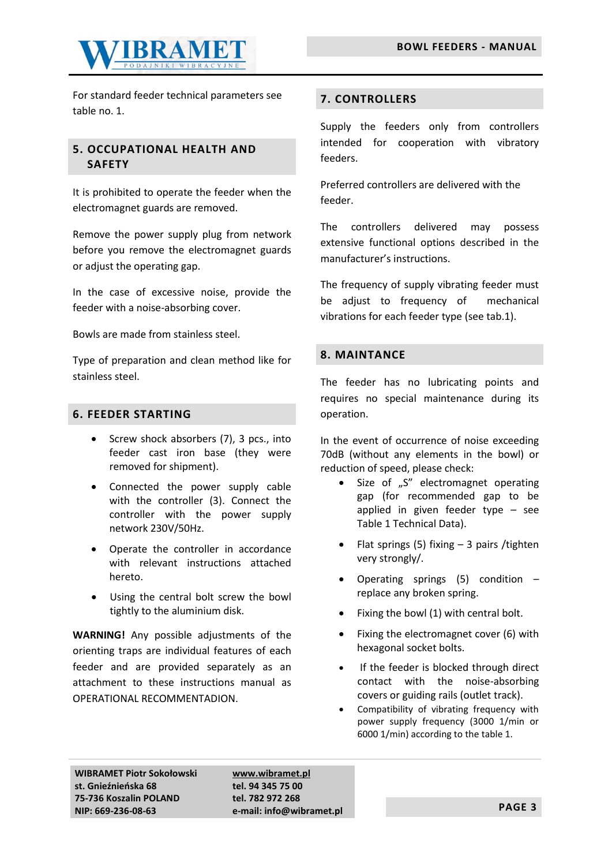

For standard feeder technical parameters see table no. 1.

# **5. OCCUPATIONAL HEALTH AND SAFETY**

It is prohibited to operate the feeder when the electromagnet guards are removed.

Remove the power supply plug from network before you remove the electromagnet guards or adjust the operating gap.

In the case of excessive noise, provide the feeder with a noise-absorbing cover.

Bowls are made from stainless steel.

Type of preparation and clean method like for stainless steel.

# **6. FEEDER STARTING**

- Screw shock absorbers (7), 3 pcs., into feeder cast iron base (they were removed for shipment).
- Connected the power supply cable with the controller (3). Connect the controller with the power supply network 230V/50Hz.
- Operate the controller in accordance with relevant instructions attached hereto.
- Using the central bolt screw the bowl tightly to the aluminium disk.

**WARNING!** Any possible adjustments of the orienting traps are individual features of each feeder and are provided separately as an attachment to these instructions manual as OPERATIONAL RECOMMENTADION.

# **7. CONTROLLERS**

Supply the feeders only from controllers intended for cooperation with vibratory feeders.

Preferred controllers are delivered with the feeder.

The controllers delivered may possess extensive functional options described in the manufacturer's instructions.

The frequency of supply vibrating feeder must be adjust to frequency of mechanical vibrations for each feeder type (see tab.1).

# **8. MAINTANCE**

The feeder has no lubricating points and requires no special maintenance during its operation.

In the event of occurrence of noise exceeding 70dB (without any elements in the bowl) or reduction of speed, please check:

- Size of "S" electromagnet operating gap (for recommended gap to be applied in given feeder type – see Table 1 Technical Data).
- Flat springs (5) fixing 3 pairs /tighten very strongly/.
- Operating springs  $(5)$  condition  $$ replace any broken spring.
- Fixing the bowl (1) with central bolt.
- Fixing the electromagnet cover (6) with hexagonal socket bolts.
- If the feeder is blocked through direct contact with the noise-absorbing covers or guiding rails (outlet track).
- Compatibility of vibrating frequency with power supply frequency (3000 1/min or 6000 1/min) according to the table 1.

**WIBRAMET Piotr Sokołowski st. Gnieźnieńska 68 75-736 Koszalin POLAND NIP: 669-236-08-63**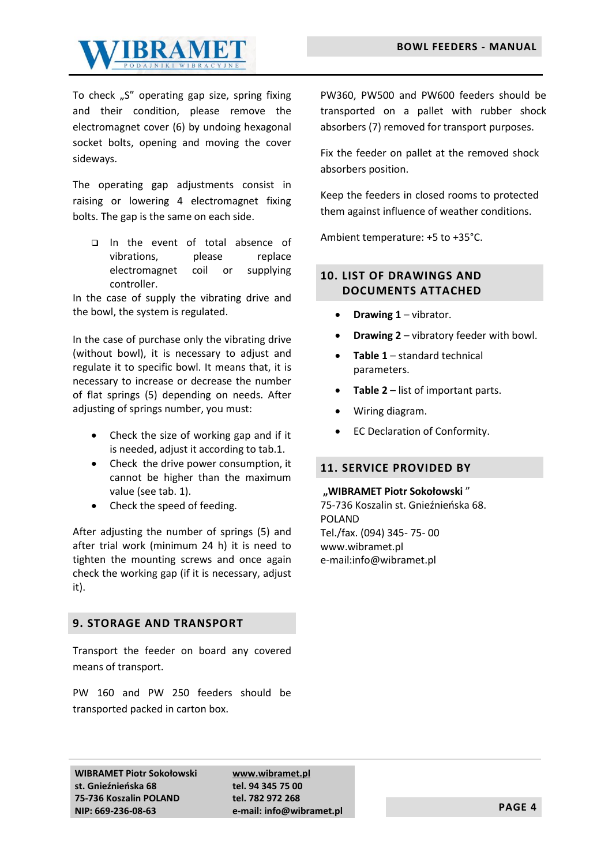

To check "S" operating gap size, spring fixing and their condition, please remove the electromagnet cover (6) by undoing hexagonal socket bolts, opening and moving the cover sideways.

The operating gap adjustments consist in raising or lowering 4 electromagnet fixing bolts. The gap is the same on each side.

❑ In the event of total absence of vibrations, please replace electromagnet coil or supplying controller.

In the case of supply the vibrating drive and the bowl, the system is regulated.

In the case of purchase only the vibrating drive (without bowl), it is necessary to adjust and regulate it to specific bowl. It means that, it is necessary to increase or decrease the number of flat springs (5) depending on needs. After adjusting of springs number, you must:

- Check the size of working gap and if it is needed, adjust it according to tab.1.
- Check the drive power consumption, it cannot be higher than the maximum value (see tab. 1).
- Check the speed of feeding.

After adjusting the number of springs (5) and after trial work (minimum 24 h) it is need to tighten the mounting screws and once again check the working gap (if it is necessary, adjust it).

#### **9. STORAGE AND TRANSPORT**

Transport the feeder on board any covered means of transport.

PW 160 and PW 250 feeders should be transported packed in carton box.

PW360, PW500 and PW600 feeders should be transported on a pallet with rubber shock absorbers (7) removed for transport purposes.

Fix the feeder on pallet at the removed shock absorbers position.

Keep the feeders in closed rooms to protected them against influence of weather conditions.

Ambient temperature: +5 to +35°C.

# **10. LIST OF DRAWINGS AND DOCUMENTS ATTACHED**

- **Drawing 1** vibrator.
- **Drawing 2**  vibratory feeder with bowl.
- **Table 1** standard technical parameters.
- **Table 2** list of important parts.
- Wiring diagram.
- EC Declaration of Conformity.

#### **11. SERVICE PROVIDED BY**

#### **"WIBRAMET Piotr Sokołowski** "

75-736 Koszalin st. Gnieźnieńska 68. POLAND Tel./fax. (094) 345- 75- 00 www.wibramet.pl e-mail:info@wibramet.pl

**WIBRAMET Piotr Sokołowski st. Gnieźnieńska 68 75-736 Koszalin POLAND NIP: 669-236-08-63**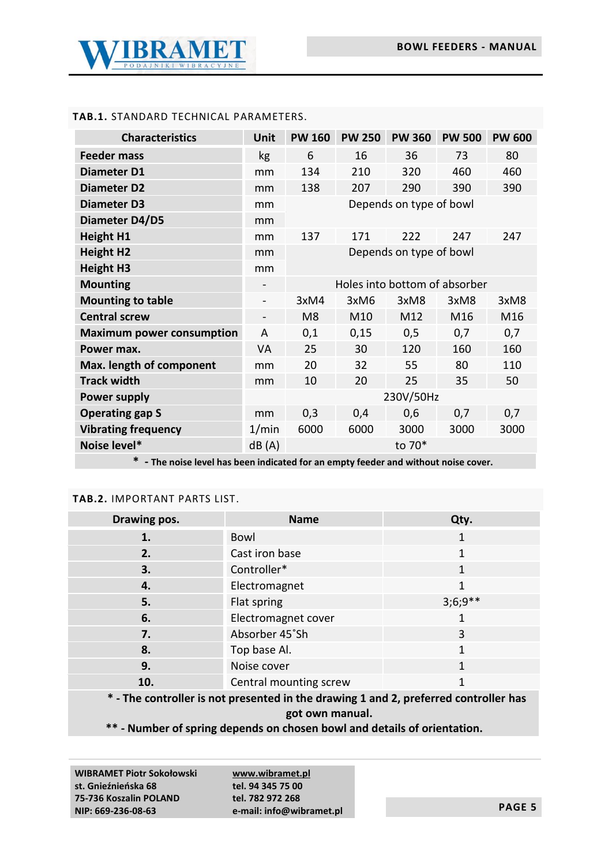

# **TAB.1.** STANDARD TECHNICAL PARAMETERS.

| <b>Characteristics</b>           | Unit                         | <b>PW 160</b>                 | <b>PW 250</b> | <b>PW 360</b>   | <b>PW 500</b>   | <b>PW 600</b> |
|----------------------------------|------------------------------|-------------------------------|---------------|-----------------|-----------------|---------------|
| <b>Feeder mass</b>               | kg                           | 6                             | 16            | 36              | 73              | 80            |
| Diameter D1                      | mm                           | 134                           | 210           | 320             | 460             | 460           |
| <b>Diameter D2</b>               | mm                           | 138                           | 207           | 290             | 390             | 390           |
| <b>Diameter D3</b>               | mm                           | Depends on type of bowl       |               |                 |                 |               |
| Diameter D4/D5                   | mm                           |                               |               |                 |                 |               |
| <b>Height H1</b>                 | mm                           | 137                           | 171           | 222             | 247             | 247           |
| <b>Height H2</b>                 | mm                           | Depends on type of bowl       |               |                 |                 |               |
| <b>Height H3</b>                 | mm                           |                               |               |                 |                 |               |
| <b>Mounting</b>                  |                              | Holes into bottom of absorber |               |                 |                 |               |
| <b>Mounting to table</b>         | $\overline{\phantom{a}}$     | 3xM4                          | 3xM6          | 3xM8            | 3xM8            | 3xM8          |
| <b>Central screw</b>             | $\qquad \qquad \blacksquare$ | M <sub>8</sub>                | M10           | M <sub>12</sub> | M <sub>16</sub> | M16           |
| <b>Maximum power consumption</b> | A                            | 0,1                           | 0,15          | 0,5             | 0,7             | 0,7           |
| Power max.                       | <b>VA</b>                    | 25                            | 30            | 120             | 160             | 160           |
| Max. length of component         | mm                           | 20                            | 32            | 55              | 80              | 110           |
| <b>Track width</b>               | mm                           | 10                            | 20            | 25              | 35              | 50            |
| <b>Power supply</b>              |                              | 230V/50Hz                     |               |                 |                 |               |
| <b>Operating gap S</b>           | mm                           | 0,3                           | 0,4           | 0,6             | 0,7             | 0,7           |
| <b>Vibrating frequency</b>       | 1/min                        | 6000                          | 6000          | 3000            | 3000            | 3000          |
| Noise level*                     | dB(A)                        | to 70*                        |               |                 |                 |               |

**\* - The noise level has been indicated for an empty feeder and without noise cover.**

#### **TAB.2.** IMPORTANT PARTS LIST.

| Drawing pos. | <b>Name</b>            | Qty.      |
|--------------|------------------------|-----------|
| 1.           | Bowl                   | 1         |
| 2.           | Cast iron base         |           |
| 3.           | Controller*            | 1         |
| 4.           | Electromagnet          |           |
| 5.           | Flat spring            | $3;6;9**$ |
| 6.           | Electromagnet cover    |           |
| 7.           | Absorber 45°Sh         | 3         |
| 8.           | Top base Al.           |           |
| 9.           | Noise cover            | 1         |
| 10.          | Central mounting screw |           |

**\* - The controller is not presented in the drawing 1 and 2, preferred controller has got own manual.**

**\*\* - Number of spring depends on chosen bowl and details of orientation.**

**WIBRAMET Piotr Sokołowski st. Gnieźnieńska 68 75-736 Koszalin POLAND NIP: 669-236-08-63**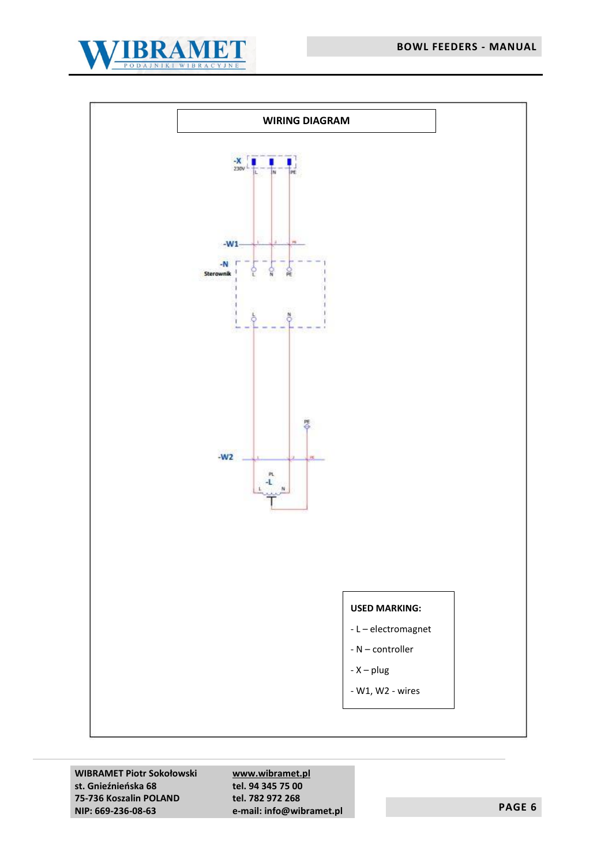



**WIBRAMET Piotr Sokołowski st. Gnieźnieńska 68 75-736 Koszalin POLAND NIP: 669-236-08-63**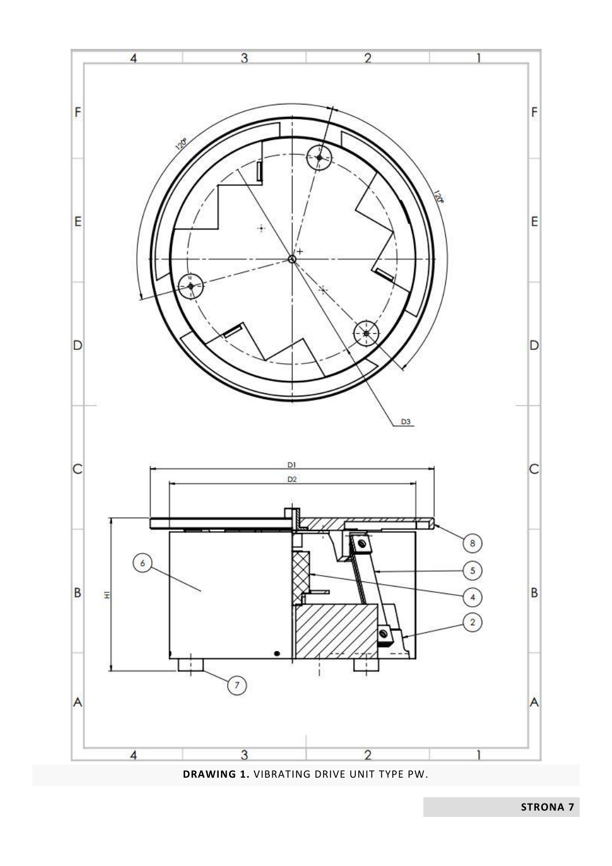

**DRAWING 1.** VIBRATING DRIVE UNIT TYPE PW.

**STRONA 7**